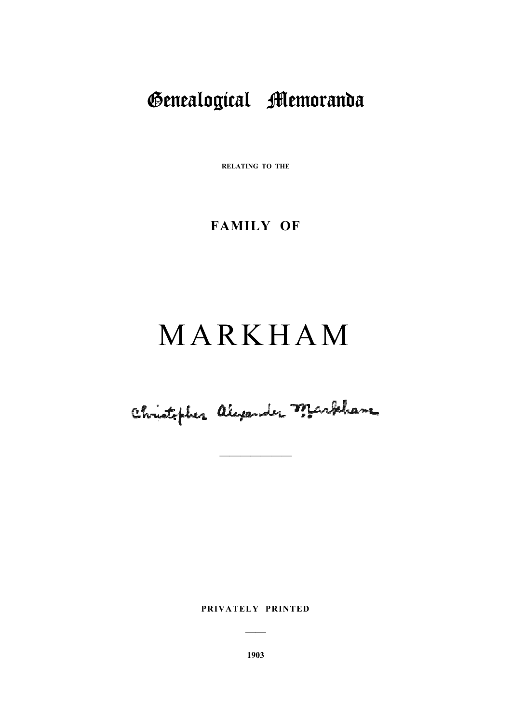Genealogical Memoranda

**RELATING TO THE** 

**FAMILY OF** 

## MARKHAM

Christopher alexander markham

———————

**PRIVATELY PRINTED** 

**1903** 

——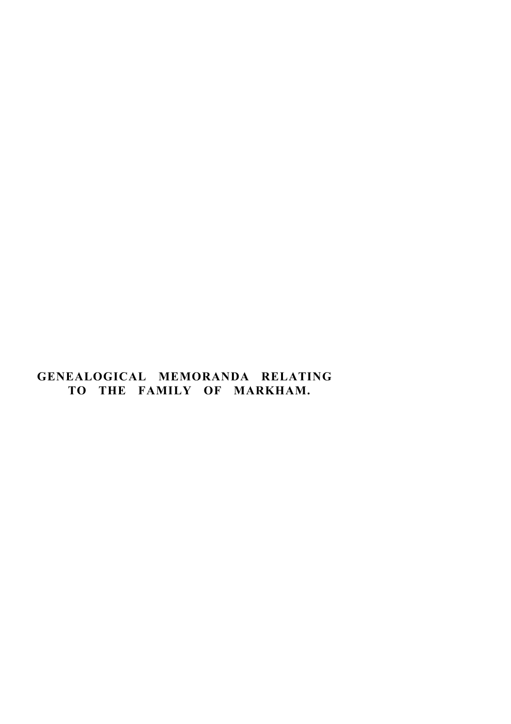#### **GENEALOGICAL MEMORANDA RELATING TO THE FAMILY OF MARKHAM.**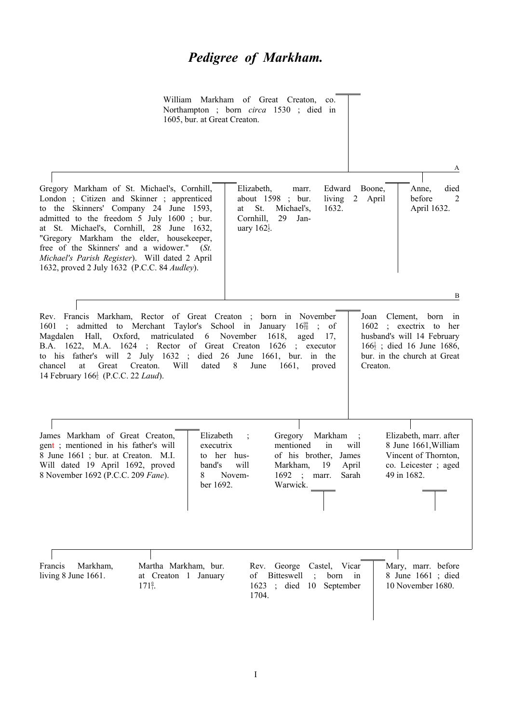#### *Pedigree of Markham.*

| 1605, bur. at Great Creaton.                                                                                                                                                                                                                                                                                                                                                                                                                                                                                                                                                                                                                                                                                    | William Markham of Great Creaton, co.<br>Northampton ; born circa 1530 ; died in                                                                                      |                                                                                                              |  |  |  |
|-----------------------------------------------------------------------------------------------------------------------------------------------------------------------------------------------------------------------------------------------------------------------------------------------------------------------------------------------------------------------------------------------------------------------------------------------------------------------------------------------------------------------------------------------------------------------------------------------------------------------------------------------------------------------------------------------------------------|-----------------------------------------------------------------------------------------------------------------------------------------------------------------------|--------------------------------------------------------------------------------------------------------------|--|--|--|
| Gregory Markham of St. Michael's, Cornhill,<br>London; Citizen and Skinner; apprenticed<br>to the Skinners' Company 24 June 1593,<br>admitted to the freedom 5 July 1600; bur.<br>at St. Michael's, Cornhill, 28 June 1632,<br>"Gregory Markham the elder, housekeeper,<br>free of the Skinners' and a widower." (St.<br>Michael's Parish Register). Will dated 2 April<br>1632, proved 2 July 1632 (P.C.C. 84 <i>Audley</i> ).                                                                                                                                                                                                                                                                                 | Elizabeth,<br>Edward<br>Boone,<br>marr.<br>about 1598 ; bur.<br>living 2 April<br>St.<br>1632.<br>Michael's,<br>at<br>Cornhill,<br>29<br>Jan-<br>uary $162_{2}^{1}$ . | A<br>died<br>Anne,<br>before<br>2<br>April 1632.                                                             |  |  |  |
| В<br>Rev. Francis Markham, Rector of Great Creaton;<br>born in November<br>Clement, born<br>Joan<br>1n<br>; admitted to Merchant Taylor's School in January $16\frac{09}{10}$ ; of<br>1602 ; exectrix to her<br>1601<br>Magdalen Hall,<br>Oxford,<br>matriculated<br>6 November 1618,<br>husband's will 14 February<br>aged<br>17.<br>B.A. 1622, M.A. 1624 ; Rector of Great Creaton 1626<br>$166\frac{1}{2}$ ; died 16 June 1686,<br>$\vdots$ executor<br>to his father's will 2 July 1632; died 26 June 1661, bur. in the<br>bur. in the church at Great<br>Creaton.<br>Creaton.<br>chancel<br>Great<br>Will<br>dated<br>June<br>1661,<br>proved<br>at<br>8<br>14 February $166\frac{1}{2}$ (P.C.C. 22 Laud). |                                                                                                                                                                       |                                                                                                              |  |  |  |
| James Markham of Great Creaton,<br>Elizabeth<br>gent; mentioned in his father's will<br>executrix<br>8 June 1661; bur. at Creaton. M.I.<br>to her hus-<br>Will dated 19 April 1692, proved<br>band's<br>8 November 1692 (P.C.C. 209 Fane).<br>8<br>ber 1692.                                                                                                                                                                                                                                                                                                                                                                                                                                                    | Gregory Markham<br>mentioned<br>in<br>will<br>of his brother,<br>James<br>will<br>Markham,<br>19<br>April<br>1692 ; marr. Sarah<br>Novem-<br>Warwick.                 | Elizabeth, marr. after<br>8 June 1661, William<br>Vincent of Thornton,<br>co. Leicester; aged<br>49 in 1682. |  |  |  |
| Francis<br>Markham,<br>Martha Markham, bur.<br>living 8 June 1661.<br>at Creaton 1 January<br>$171\frac{0}{1}$ .                                                                                                                                                                                                                                                                                                                                                                                                                                                                                                                                                                                                | George Castel, Vicar<br>Rev.<br>Bitteswell<br>of<br>born<br>in<br>$1623$ ; died 10<br>September<br>1704.                                                              | Mary, marr. before<br>8 June 1661 ; died<br>10 November 1680.                                                |  |  |  |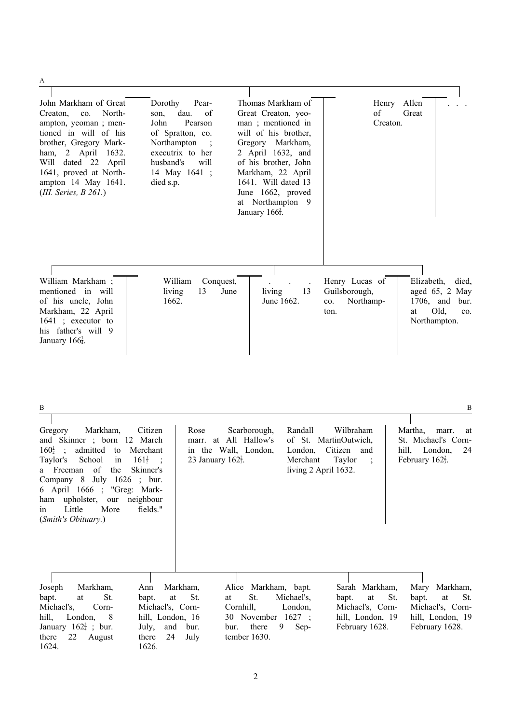| A                                                                                                                                                                                                                                                                                    |                                                                                                                                                                     |                                                                                                                                                                                                                                                                           |                                                                                                |                                                                                                        |
|--------------------------------------------------------------------------------------------------------------------------------------------------------------------------------------------------------------------------------------------------------------------------------------|---------------------------------------------------------------------------------------------------------------------------------------------------------------------|---------------------------------------------------------------------------------------------------------------------------------------------------------------------------------------------------------------------------------------------------------------------------|------------------------------------------------------------------------------------------------|--------------------------------------------------------------------------------------------------------|
| John Markham of Great<br>North-<br>Creaton,<br>co.<br>ampton, yeoman; men-<br>tioned in will of his<br>brother, Gregory Mark-<br>ham, 2 April 1632.<br>Will dated 22 April<br>1641, proved at North-<br>ampton 14 May 1641.<br>(III. Series, $B$ 261.)                               | Dorothy<br>Pear-<br>dau.<br>of<br>son,<br>Pearson<br>John<br>of Spratton, co.<br>Northampton<br>executrix to her<br>will<br>husband's<br>14 May 1641 ;<br>died s.p. | Thomas Markham of<br>Great Creaton, yeo-<br>man; mentioned in<br>will of his brother,<br>Gregory Markham,<br>2 April 1632, and<br>of his brother, John<br>Markham, 22 April<br>1641. Will dated 13<br>June 1662, proved<br>at Northampton 9<br>January $166\frac{3}{4}$ . | of<br>Creaton.                                                                                 | Henry Allen<br>Great                                                                                   |
| William Markham;<br>mentioned in will<br>of his uncle, John<br>Markham, 22 April<br>$1641$ ; executor to<br>his father's will 9<br>January $166\frac{3}{4}$ .                                                                                                                        | William<br>Conquest,<br>13<br>living<br>1662.                                                                                                                       | 13<br>June<br>living<br>June 1662.                                                                                                                                                                                                                                        | Henry Lucas of<br>Guilsborough,<br>Northamp-<br>co.<br>ton.                                    | Elizabeth,<br>died,<br>aged 65, 2 May<br>1706, and<br>bur.<br>Old,<br>at<br>co.<br>Northampton.        |
| B                                                                                                                                                                                                                                                                                    |                                                                                                                                                                     |                                                                                                                                                                                                                                                                           |                                                                                                | B                                                                                                      |
| Markham,<br>Gregory<br>Skinner ; born<br>and<br>$160\frac{1}{2}$<br>admitted<br>to<br>Taylor's<br>School<br>in<br>of the Skinner's<br>a Freeman<br>Company 8 July 1626 ; bur.<br>6 April 1666 ; "Greg: Mark-<br>ham upholster,<br>our<br>Little<br>More<br>ın<br>(Smith's Obituary.) | Citizen<br>Rose<br>12 March<br>Merchant<br>$161\frac{1}{2}$<br>23 January $162\frac{2}{3}$ .<br>neighbour<br>fields."                                               | Randall<br>Scarborough,<br>marr. at All Hallow's<br>London,<br>in the Wall, London,<br>Merchant                                                                                                                                                                           | Wilbraham<br>of St. MartinOutwich,<br>Citizen<br>and<br>Taylor<br>living 2 April 1632.         | Martha,<br>marr.<br>at<br>St. Michael's Corn-<br>hill,<br>London,<br>24<br>February $162\frac{2}{3}$ . |
| Joseph<br>Markham,<br>St.<br>bapt.<br>at<br>Michael's,<br>Corn-<br>hill,<br>London,<br>8<br>January $162^{\frac{3}{4}}$ ; bur.<br>22<br>there<br>August<br>1624.                                                                                                                     | Markham,<br>Ann<br>$\,$ at<br>St.<br>bapt.<br>Michael's, Corn-<br>hill, London, 16<br>and<br>bur.<br>July,<br>24<br>July<br>there<br>1626.                          | Alice Markham, bapt.<br>St.<br>at<br>Michael's,<br>Cornhill,<br>London,<br>30 November 1627 ;<br>there<br>9<br>bur.<br>Sep-<br>tember 1630.                                                                                                                               | Sarah Markham,<br>bapt.<br>at<br>St.<br>Michael's, Corn-<br>hill, London, 19<br>February 1628. | Mary Markham,<br>bapt.<br>at<br>St.<br>Michael's, Corn-<br>hill, London, 19<br>February 1628.          |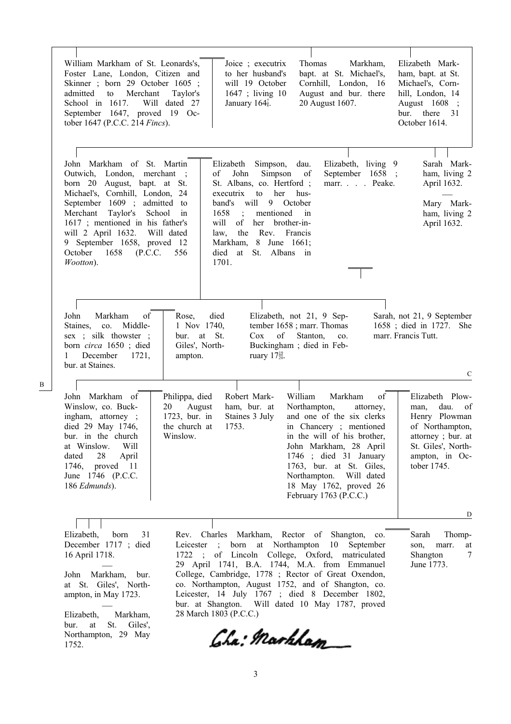| Thomas<br>William Markham of St. Leonards's,<br>Joice; executrix<br>Markham,<br>Foster Lane, London, Citizen and<br>to her husband's<br>bapt. at St. Michael's,<br>Skinner ; born 29 October 1605 ;<br>will 19 October<br>Cornhill, London, 16<br>Merchant<br>1647 ; living 10<br>August and bur. there<br>admitted<br>to<br>Taylor's<br>School in 1617.<br>Will dated 27<br>January $164\frac{7}{8}$ .<br>20 August 1607.<br>$19$ Oc-<br>September 1647, proved<br>tober 1647 (P.C.C. 214 Fincs).                                                                                                                                                                                                                                                                                           | Elizabeth Mark-<br>ham, bapt. at St.<br>Michael's, Corn-<br>hill, London, 14<br>August 1608<br>there 31<br>bur.<br>October 1614.                           |
|----------------------------------------------------------------------------------------------------------------------------------------------------------------------------------------------------------------------------------------------------------------------------------------------------------------------------------------------------------------------------------------------------------------------------------------------------------------------------------------------------------------------------------------------------------------------------------------------------------------------------------------------------------------------------------------------------------------------------------------------------------------------------------------------|------------------------------------------------------------------------------------------------------------------------------------------------------------|
| John Markham of St. Martin<br>Elizabeth<br>Simpson,<br>Elizabeth, living 9<br>dau.<br>John<br>Simpson<br>Outwich, London,<br>merchant :<br>of<br>of<br>September 1658;<br>born 20<br>August, bapt. at St.<br>St. Albans, co. Hertford;<br>marr. Peake.<br>her<br>Michael's, Cornhill, London, 24<br>executrix<br>to<br>hus-<br>September $1609$ ;<br>band's<br>will<br>admitted to<br>9 October<br>Merchant<br>Taylor's<br>School<br>1658<br>$\ddot{\cdot}$<br>mentioned<br>in<br>in<br>1617; mentioned in his father's<br>of<br>brother-in-<br>will<br>her<br>will 2 April 1632.<br>Will dated<br>Francis<br>the<br>Rev.<br>law.<br>9 September 1658, proved 12<br>Markham, 8<br>June 1661;<br>October<br>1658<br>556<br>St.<br>Albans<br>(P.C.C.<br>died<br>at<br>in<br>1701.<br>Wootton). | Sarah Mark-<br>ham, living 2<br>April 1632.<br>Mary Mark-<br>ham, living 2<br>April 1632.                                                                  |
| Markham<br>Rose,<br>died<br>John<br>of<br>Elizabeth, not 21, 9 Sep-<br>Middle-<br>1 Nov 1740,<br>tember 1658; marr. Thomas<br>Staines,<br>co.<br>sex ; silk thowster ;<br>St.<br>Stanton,<br>bur.<br>at<br>Cox.<br>of<br>co.<br>Giles', North-<br>born circa 1650; died<br>Buckingham; died in Feb-<br>December<br>ruary $17\frac{19}{20}$ .<br>1<br>1721,<br>ampton.<br>bur. at Staines.                                                                                                                                                                                                                                                                                                                                                                                                    | Sarah, not 21, 9 September<br>1658; died in 1727.<br>She<br>marr. Francis Tutt.                                                                            |
| Robert Mark-<br>John Markham of<br>William<br>Markham<br>of<br>Philippa, died<br>Winslow, co. Buck-<br>August<br>ham, bur. at<br>Northampton,<br>20<br>attorney,<br>1723, bur. in<br>and one of the six clerks<br>ingham, attorney ;<br>Staines 3 July<br>1753.<br>in Chancery ; mentioned<br>died 29 May 1746,<br>the church at<br>Winslow.<br>bur. in the church<br>in the will of his brother,<br>at Winslow.<br>John Markham, 28 April<br>Will<br>28<br>1746 ; died 31 January<br>dated<br>April<br>1763, bur. at St. Giles,<br>1746,<br>proved 11<br>June 1746 (P.C.C.<br>Northampton. Will dated<br>186 Edmunds).<br>18 May 1762, proved 26<br>February 1763 (P.C.C.)                                                                                                                  | C<br>Elizabeth Plow-<br>dau.<br>of<br>man,<br>Henry Plowman<br>of Northampton,<br>attorney; bur. at<br>St. Giles', North-<br>ampton, in Oc-<br>tober 1745. |
| 31<br>Rev. Charles Markham, Rector of Shangton,<br>Elizabeth,<br>born<br>CO <sub>2</sub><br>born at Northampton<br>10<br>December 1717; died<br>September<br>Leicester<br>$\sim$ $-$<br>16 April 1718.<br>1722 :<br>Lincoln College, Oxford, matriculated<br>of<br>29 April 1741, B.A. 1744, M.A. from Emmanuel<br>College, Cambridge, 1778 ; Rector of Great Oxendon,<br>John Markham,<br>bur.<br>co. Northampton, August 1752, and of Shangton, co.<br>at St. Giles', North-<br>Leicester, 14 July 1767 ; died 8 December 1802,<br>ampton, in May 1723.<br>bur. at Shangton. Will dated 10 May 1787, proved<br>28 March 1803 (P.C.C.)<br>Elizabeth,<br>Markham,<br>at<br>St.<br>bur.<br>Giles'.<br>Northampton, 29 May<br>Cha: Markham<br>1752.                                            | D<br>Sarah<br>Thomp-<br>son,<br>marr.<br>at<br>Shangton<br>7<br>June 1773.                                                                                 |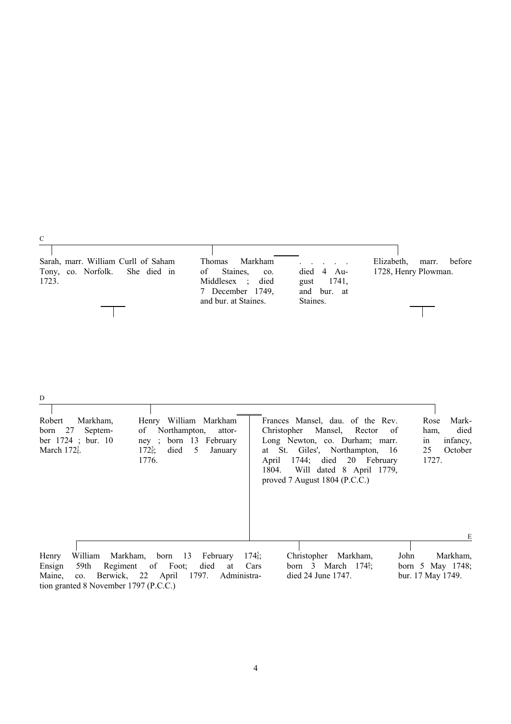| $\mathcal{C}$<br>Sarah, marr. William Curll of Saham<br>Tony, co. Norfolk.<br>1723.                | She died in                                                                                                  | Thomas<br>Staines,<br>of<br>Middlesex<br>$\overline{\phantom{a}}$<br>7 December 1749,<br>and bur. at Staines. | Markham<br>co.<br>died        | 4 Au-<br>died<br>1741.<br>gust<br>and bur. at<br>Staines.                                                                                                                                     | Elizabeth,<br>1728, Henry Plowman. | before<br>marr.                                                           |
|----------------------------------------------------------------------------------------------------|--------------------------------------------------------------------------------------------------------------|---------------------------------------------------------------------------------------------------------------|-------------------------------|-----------------------------------------------------------------------------------------------------------------------------------------------------------------------------------------------|------------------------------------|---------------------------------------------------------------------------|
| D<br>Robert<br>Markham,<br>27<br>Septem-<br>born<br>ber 1724 ; bur. 10<br>March $172\frac{5}{6}$ . | Henry William Markham<br>Northampton,<br>of<br>ney ; born 13 February<br>$172\frac{5}{6}$ ;<br>died<br>1776. | attor-<br>5<br>January                                                                                        | Christopher<br>April<br>1804. | Frances Mansel, dau. of the Rev.<br>Mansel,<br>Long Newton, co. Durham; marr.<br>at St. Giles', Northampton, 16<br>$1744$ ; died<br>Will dated 8 April 1779,<br>proved 7 August 1804 (P.C.C.) | Rector<br>of<br>20 February        | Rose<br>Mark-<br>died<br>ham,<br>in<br>infancy,<br>25<br>October<br>1727. |
| William<br>Henry<br>59th<br>Regiment<br>Ensign                                                     | Markham,<br>born<br>13<br>of<br>Foot;                                                                        | $174\frac{5}{6}$ ;<br>February<br>died<br>Cars<br>at                                                          |                               | Christopher Markham,<br>born 3 March $174\frac{6}{7}$ ;                                                                                                                                       | John                               | E<br>Markham,<br>born 5 May 1748;                                         |

4

Maine, co. Berwick, 22 April 1797. Administration granted 8 November 1797 (P.C.C.)

 $\frac{c}{c}$ Т

> died 24 June 1747. bur. 17 May 1749.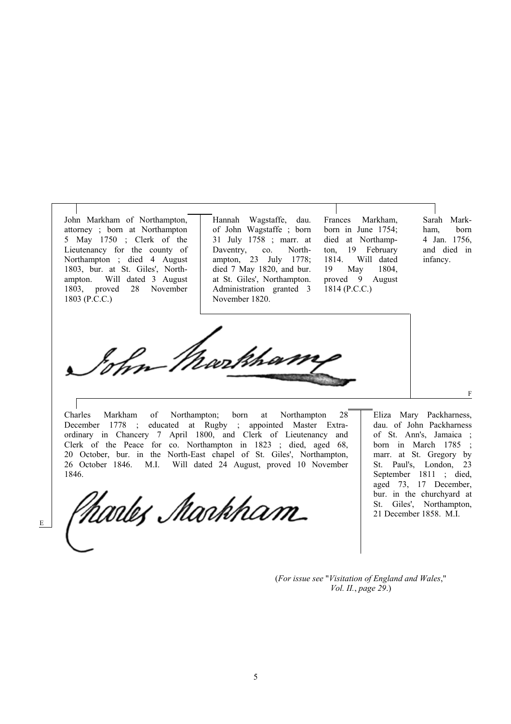John Markham of Northampton, attorney ; born at Northampton 5 May 1750 ; Clerk of the Lieutenancy for the county of Northampton ; died 4 August 1803, bur. at St. Giles', Northampton. Will dated 3 August 1803, proved 28 November 1803 (P.C.C.)

E

 Hannah Wagstaffe, dau. of John Wagstaffe ; born 31 July 1758 ; marr. at Daventry, co. Northampton, 23 July 1778; died 7 May 1820, and bur. at St. Giles', Northampton. Administration granted 3 November 1820.

 Frances Markham, born in June 1754; died at Northampton, 19 February 1814. Will dated 19 May 1804, proved 9 August 1814 (P.C.C.)

I

 Sarah Markham, born 4 Jan. 1756, and died in infancy.

F

rwzkham

Charles Markham of Northampton; born at Northampton 28 December 1778 ; educated at Rugby ; appointed Master Extraordinary in Chancery 7 April 1800, and Clerk of Lieutenancy and Clerk of the Peace for co. Northampton in 1823 ; died, aged 68, 20 October, bur. in the North-East chapel of St. Giles', Northampton, 26 October 1846. M.I. Will dated 24 August, proved 10 November 1846.

Phoodes Machham

Eliza Mary Packharness, dau. of John Packharness of St. Ann's, Jamaica ; born in March 1785 ; marr. at St. Gregory by St. Paul's, London, 23 September 1811 ; died, aged 73, 17 December, bur. in the churchyard at St. Giles', Northampton, 21 December 1858. M.I.

(*For issue see* "*Visitation of England and Wales*," *Vol. II.*, *page 29*.)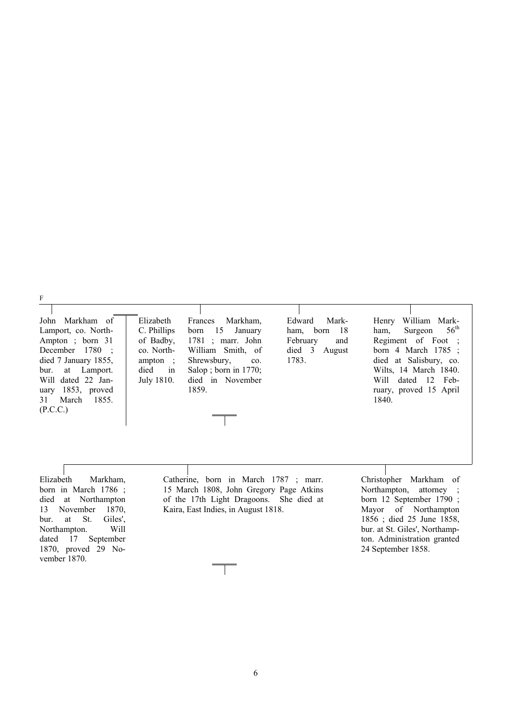F John Markham of Lamport, co. North-Ampton ; born 31 December 1780 ; died 7 January 1855, bur. at Lamport. Will dated 22 January 1853, proved 31 March 1855. (P.C.C.) Elizabeth C. Phillips of Badby, co. Northampton ; died in July 1810. Frances Markham, born 15 January 1781 ; marr. John William Smith, of Shrewsbury, co. Salop ; born in 1770; died in November 1859. Edward Markham, born 18 February and died 3 August 1783. Henry William Mark-<br>ham, Surgeon 56<sup>th</sup> ham, Surgeon Regiment of Foot ; born 4 March 1785 ; died at Salisbury, co. Wilts, 14 March 1840. Will dated 12 February, proved 15 April 1840.  $\overline{\phantom{a}}$ 

 $\overline{\phantom{a}}$ Elizabeth Markham, born in March 1786 ; died at Northampton 13 November 1870, bur. at St. Giles', Northampton. Will dated 17 September 1870, proved 29 November 1870.

 Catherine, born in March 1787 ; marr. 15 March 1808, John Gregory Page Atkins of the 17th Light Dragoons. She died at Kaira, East Indies, in August 1818.

 Christopher Markham of Northampton, attorney born 12 September 1790 ; Mayor of Northampton 1856 ; died 25 June 1858, bur. at St. Giles', Northampton. Administration granted 24 September 1858.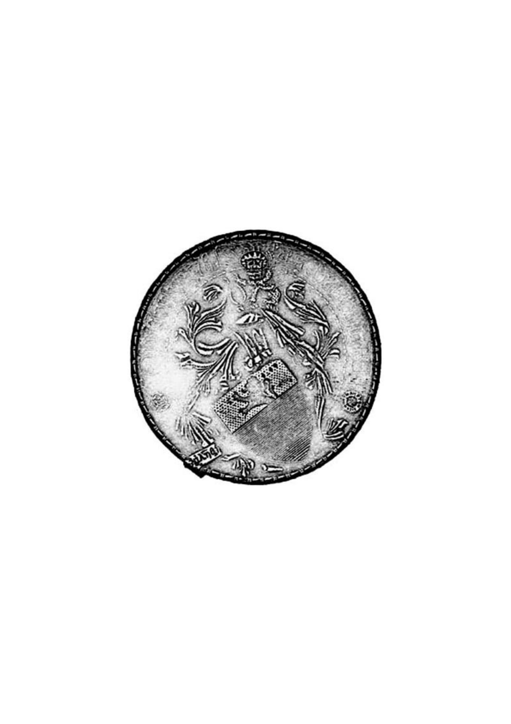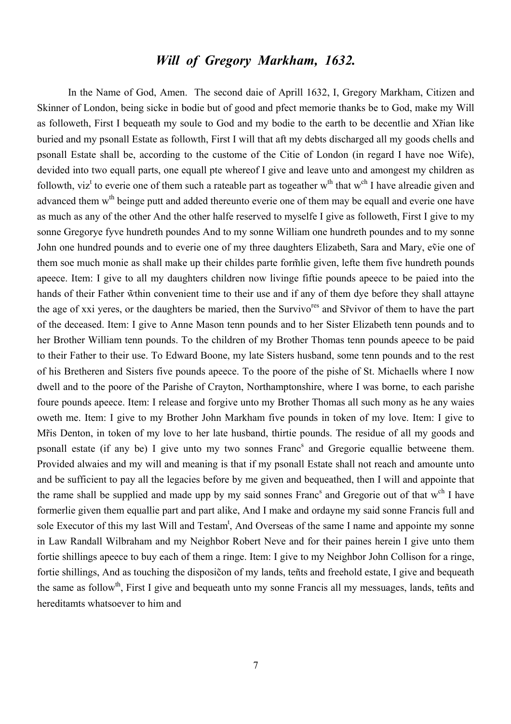#### *Will of Gregory Markham, 1632.*

In the Name of God, Amen. The second daie of Aprill 1632, I, Gregory Markham, Citizen and Skinner of London, being sicke in bodie but of good and pfect memorie thanks be to God, make my Will as followeth, First I bequeath my soule to God and my bodie to the earth to be decentlie and Xrian like buried and my psonall Estate as followth, First I will that aft my debts discharged all my goods chells and psonall Estate shall be, according to the custome of the Citie of London (in regard I have noe Wife), devided into two equall parts, one equall pte whereof I give and leave unto and amongest my children as followth, viz<sup>t</sup> to everie one of them such a rateable part as togeather w<sup>th</sup> that w<sup>ch</sup> I have alreadie given and advanced them w<sup>th</sup> beinge putt and added thereunto everie one of them may be equall and everie one have as much as any of the other And the other halfe reserved to myselfe I give as followeth, First I give to my sonne Gregorye fyve hundreth poundes And to my sonne William one hundreth poundes and to my sonne John one hundred pounds and to everie one of my three daughters Elizabeth, Sara and Mary, evie one of them soe much monie as shall make up their childes parte form<sup>a</sup> lie given, lefte them five hundreth pounds apeece. Item: I give to all my daughters children now livinge fiftie pounds apeece to be paied into the hands of their Father w̃thin convenient time to their use and if any of them dye before they shall attayne the age of xxi yeres, or the daughters be maried, then the Survivo<sup>res</sup> and Sr<sup>y</sup>vivor of them to have the part of the deceased. Item: I give to Anne Mason tenn pounds and to her Sister Elizabeth tenn pounds and to her Brother William tenn pounds. To the children of my Brother Thomas tenn pounds apeece to be paid to their Father to their use. To Edward Boone, my late Sisters husband, some tenn pounds and to the rest of his Bretheren and Sisters five pounds apeece. To the poore of the pishe of St. Michaells where I now dwell and to the poore of the Parishe of Crayton, Northamptonshire, where I was borne, to each parishe foure pounds apeece. Item: I release and forgive unto my Brother Thomas all such mony as he any waies oweth me. Item: I give to my Brother John Markham five pounds in token of my love. Item: I give to Mris Denton, in token of my love to her late husband, thirtie pounds. The residue of all my goods and psonall estate (if any be) I give unto my two sonnes Franc<sup>s</sup> and Gregorie equallie betweene them. Provided alwaies and my will and meaning is that if my psonall Estate shall not reach and amounte unto and be sufficient to pay all the legacies before by me given and bequeathed, then I will and appointe that the rame shall be supplied and made upp by my said sonnes Franc<sup>s</sup> and Gregorie out of that w<sup>ch</sup> I have formerlie given them equallie part and part alike, And I make and ordayne my said sonne Francis full and sole Executor of this my last Will and Testam<sup>t</sup>, And Overseas of the same I name and appointe my sonne in Law Randall Wilbraham and my Neighbor Robert Neve and for their paines herein I give unto them fortie shillings apeece to buy each of them a ringe. Item: I give to my Neighbor John Collison for a ringe, fortie shillings, And as touching the disposicon of my lands, teñts and freehold estate, I give and bequeath the same as follow<sup>th</sup>, First I give and bequeath unto my sonne Francis all my messuages, lands, teñts and hereditamts whatsoever to him and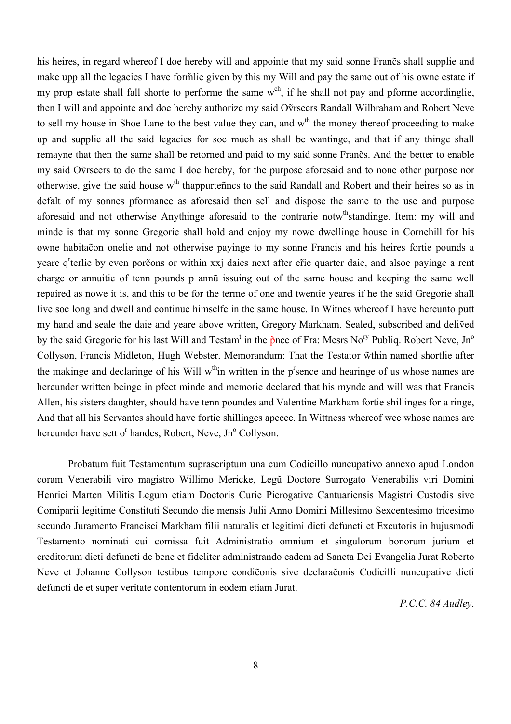his heires, in regard whereof I doe hereby will and appointe that my said sonne Francs shall supplie and make upp all the legacies I have formalie given by this my Will and pay the same out of his owne estate if my prop estate shall fall shorte to performe the same  $w<sup>ch</sup>$ , if he shall not pay and pforme accordinglie, then I will and appointe and doe hereby authorize my said Ovrseers Randall Wilbraham and Robert Neve to sell my house in Shoe Lane to the best value they can, and  $w<sup>th</sup>$  the money thereof proceeding to make up and supplie all the said legacies for soe much as shall be wantinge, and that if any thinge shall remayne that then the same shall be retorned and paid to my said sonne Francs. And the better to enable my said Overseers to do the same I doe hereby, for the purpose aforesaid and to none other purpose nor otherwise, give the said house w<sup>th</sup> thappurteñncs to the said Randall and Robert and their heires so as in defalt of my sonnes pformance as aforesaid then sell and dispose the same to the use and purpose aforesaid and not otherwise Anythinge aforesaid to the contrarie notw<sup>th</sup>standinge. Item: my will and minde is that my sonne Gregorie shall hold and enjoy my nowe dwellinge house in Cornehill for his owne habitacon onelie and not otherwise payinge to my sonne Francis and his heires fortie pounds a yeare q<sup>r</sup>terlie by even porc̃ons or within xxj daies next after er̃ie quarter daie, and alsoe payinge a rent charge or annuitie of tenn pounds p annu<sup>n</sup> issuing out of the same house and keeping the same well repaired as nowe it is, and this to be for the terme of one and twentie yeares if he the said Gregorie shall live soe long and dwell and continue himselfe in the same house. In Witnes whereof I have hereunto putt my hand and seale the daie and yeare above written, Gregory Markham. Sealed, subscribed and delived by the said Gregorie for his last Will and Testam<sup>t</sup> in the pnce of Fra: Mesrs No<sup>ry</sup> Publiq. Robert Neve, Jn<sup>o</sup> Collyson, Francis Midleton, Hugh Webster. Memorandum: That the Testator w̃thin named shortlie after the makinge and declaringe of his Will w<sup>th</sup>in written in the p<sup>r</sup>sence and hearinge of us whose names are hereunder written beinge in pfect minde and memorie declared that his mynde and will was that Francis Allen, his sisters daughter, should have tenn poundes and Valentine Markham fortie shillinges for a ringe, And that all his Servantes should have fortie shillinges apeece. In Wittness whereof wee whose names are hereunder have sett o<sup>r</sup> handes, Robert, Neve, Jn<sup>o</sup> Collyson.

Probatum fuit Testamentum suprascriptum una cum Codicillo nuncupativo annexo apud London coram Venerabili viro magistro Willimo Mericke, Legũ Doctore Surrogato Venerabilis viri Domini Henrici Marten Militis Legum etiam Doctoris Curie Pierogative Cantuariensis Magistri Custodis sive Comiparii legitime Constituti Secundo die mensis Julii Anno Domini Millesimo Sexcentesimo tricesimo secundo Juramento Francisci Markham filii naturalis et legitimi dicti defuncti et Excutoris in hujusmodi Testamento nominati cui comissa fuit Administratio omnium et singulorum bonorum jurium et creditorum dicti defuncti de bene et fideliter administrando eadem ad Sancta Dei Evangelia Jurat Roberto Neve et Johanne Collyson testibus tempore condiconis sive declaraconis Codicilli nuncupative dicti defuncti de et super veritate contentorum in eodem etiam Jurat.

*P.C.C. 84 Audley*.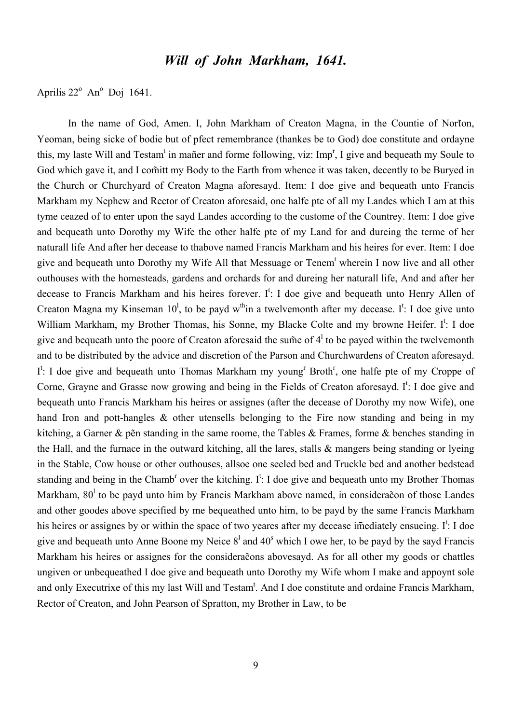#### *Will of John Markham, 1641.*

Aprilis  $22^{\circ}$  An<sup>o</sup> Doj 1641.

In the name of God, Amen. I, John Markham of Creaton Magna, in the Countie of Norton, Yeoman, being sicke of bodie but of pfect remembrance (thankes be to God) doe constitute and ordayne this, my laste Will and Testam<sup>t</sup> in mañer and forme following, viz: Imp<sup>r</sup>, I give and bequeath my Soule to God which gave it, and I compt to the Earth from whence it was taken, decently to be Buryed in the Church or Churchyard of Creaton Magna aforesayd. Item: I doe give and bequeath unto Francis Markham my Nephew and Rector of Creaton aforesaid, one halfe pte of all my Landes which I am at this tyme ceazed of to enter upon the sayd Landes according to the custome of the Countrey. Item: I doe give and bequeath unto Dorothy my Wife the other halfe pte of my Land for and dureing the terme of her naturall life And after her decease to thabove named Francis Markham and his heires for ever. Item: I doe give and bequeath unto Dorothy my Wife All that Messuage or Tenem<sup>t</sup> wherein I now live and all other outhouses with the homesteads, gardens and orchards for and dureing her naturall life, And and after her decease to Francis Markham and his heires forever. I<sup>t</sup>: I doe give and bequeath unto Henry Allen of Creaton Magna my Kinseman  $10^1$ , to be payd w<sup>th</sup>in a twelvemonth after my decease. I<sup>t</sup>: I doe give unto William Markham, my Brother Thomas, his Sonne, my Blacke Colte and my browne Heifer. I<sup>t</sup>: I doe give and bequeath unto the poore of Creaton aforesaid the sume of  $4<sup>1</sup>$  to be payed within the twelvemonth and to be distributed by the advice and discretion of the Parson and Churchwardens of Creaton aforesayd. I<sup>t</sup>: I doe give and bequeath unto Thomas Markham my young<sup>r</sup> Broth<sup>r</sup>, one halfe pte of my Croppe of Corne, Grayne and Grasse now growing and being in the Fields of Creaton aforesayd. I<sup>t</sup>: I doe give and bequeath unto Francis Markham his heires or assignes (after the decease of Dorothy my now Wife), one hand Iron and pott-hangles & other utensells belonging to the Fire now standing and being in my kitching, a Garner & pen standing in the same roome, the Tables & Frames, forme & benches standing in the Hall, and the furnace in the outward kitching, all the lares, stalls & mangers being standing or lyeing in the Stable, Cow house or other outhouses, allsoe one seeled bed and Truckle bed and another bedstead standing and being in the Chamb<sup>r</sup> over the kitching. I<sup>t</sup>: I doe give and bequeath unto my Brother Thomas Markham, 80<sup>1</sup> to be payd unto him by Francis Markham above named, in consideracton of those Landes and other goodes above specified by me bequeathed unto him, to be payd by the same Francis Markham his heires or assignes by or within the space of two yeares after my decease imediately ensueing. I<sup>t</sup>: I doe give and bequeath unto Anne Boone my Neice  $8^1$  and  $40^s$  which I owe her, to be payd by the sayd Francis Markham his heires or assignes for the consideractons abovesayd. As for all other my goods or chattles ungiven or unbequeathed I doe give and bequeath unto Dorothy my Wife whom I make and appoynt sole and only Executrixe of this my last Will and Testam<sup>t</sup>. And I doe constitute and ordaine Francis Markham, Rector of Creaton, and John Pearson of Spratton, my Brother in Law, to be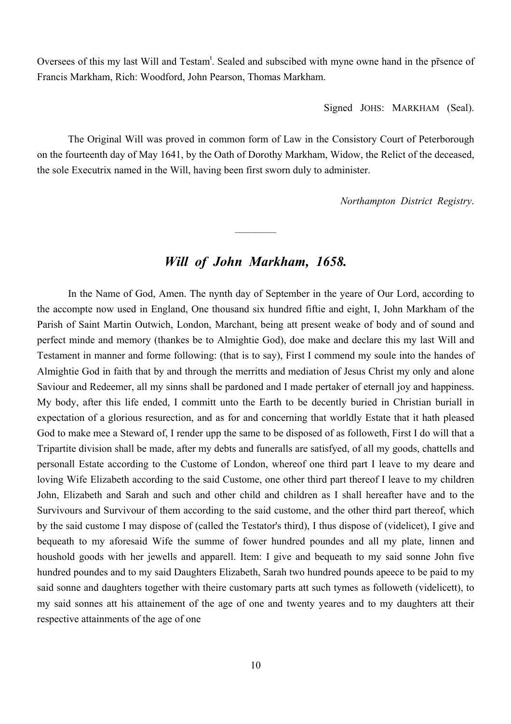Oversees of this my last Will and Testam<sup>t</sup>. Sealed and subscibed with myne owne hand in the pr̃sence of Francis Markham, Rich: Woodford, John Pearson, Thomas Markham.

Signed JOHS: MARKHAM (Seal).

The Original Will was proved in common form of Law in the Consistory Court of Peterborough on the fourteenth day of May 1641, by the Oath of Dorothy Markham, Widow, the Relict of the deceased, the sole Executrix named in the Will, having been first sworn duly to administer.

*Northampton District Registry*.

#### *Will of John Markham, 1658.*

————

In the Name of God, Amen. The nynth day of September in the yeare of Our Lord, according to the accompte now used in England, One thousand six hundred fiftie and eight, I, John Markham of the Parish of Saint Martin Outwich, London, Marchant, being att present weake of body and of sound and perfect minde and memory (thankes be to Almightie God), doe make and declare this my last Will and Testament in manner and forme following: (that is to say), First I commend my soule into the handes of Almightie God in faith that by and through the merritts and mediation of Jesus Christ my only and alone Saviour and Redeemer, all my sinns shall be pardoned and I made pertaker of eternall joy and happiness. My body, after this life ended, I committ unto the Earth to be decently buried in Christian buriall in expectation of a glorious resurection, and as for and concerning that worldly Estate that it hath pleased God to make mee a Steward of, I render upp the same to be disposed of as followeth, First I do will that a Tripartite division shall be made, after my debts and funeralls are satisfyed, of all my goods, chattells and personall Estate according to the Custome of London, whereof one third part I leave to my deare and loving Wife Elizabeth according to the said Custome, one other third part thereof I leave to my children John, Elizabeth and Sarah and such and other child and children as I shall hereafter have and to the Survivours and Survivour of them according to the said custome, and the other third part thereof, which by the said custome I may dispose of (called the Testator's third), I thus dispose of (videlicet), I give and bequeath to my aforesaid Wife the summe of fower hundred poundes and all my plate, linnen and houshold goods with her jewells and apparell. Item: I give and bequeath to my said sonne John five hundred poundes and to my said Daughters Elizabeth, Sarah two hundred pounds apeece to be paid to my said sonne and daughters together with theire customary parts att such tymes as followeth (videlicett), to my said sonnes att his attainement of the age of one and twenty yeares and to my daughters att their respective attainments of the age of one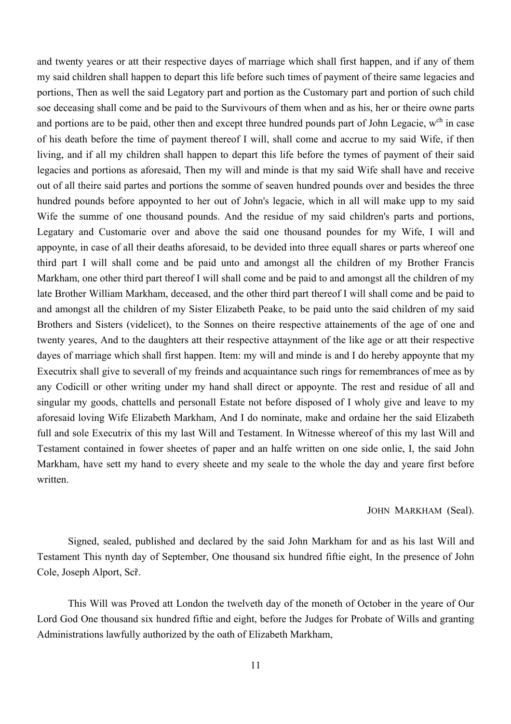and twenty yeares or att their respective dayes of marriage which shall first happen, and if any of them my said children shall happen to depart this life before such times of payment of theire same legacies and portions, Then as well the said Legatory part and portion as the Customary part and portion of such child soe deceasing shall come and be paid to the Survivours of them when and as his, her or theire owne parts and portions are to be paid, other then and except three hundred pounds part of John Legacie, w<sup>ch</sup> in case of his death before the time of payment thereof I will, shall come and accrue to my said Wife, if then living, and if all my children shall happen to depart this life before the tymes of payment of their said legacies and portions as aforesaid, Then my will and minde is that my said Wife shall have and receive out of all theire said partes and portions the somme of seaven hundred pounds over and besides the three hundred pounds before appoynted to her out of John's legacie, which in all will make upp to my said Wife the summe of one thousand pounds. And the residue of my said children's parts and portions, Legatary and Customarie over and above the said one thousand poundes for my Wife, I will and appoynte, in case of all their deaths aforesaid, to be devided into three equall shares or parts whereof one third part I will shall come and be paid unto and amongst all the children of my Brother Francis Markham, one other third part thereof I will shall come and be paid to and amongst all the children of my late Brother William Markham, deceased, and the other third part thereof I will shall come and be paid to and amongst all the children of my Sister Elizabeth Peake, to be paid unto the said children of my said Brothers and Sisters (videlicet), to the Sonnes on theire respective attainements of the age of one and twenty yeares, And to the daughters att their respective attaynment of the like age or att their respective dayes of marriage which shall first happen. Item: my will and minde is and I do hereby appoynte that my Executrix shall give to severall of my freinds and acquaintance such rings for remembrances of mee as by any Codicill or other writing under my hand shall direct or appoynte. The rest and residue of all and singular my goods, chattells and personall Estate not before disposed of I wholy give and leave to my aforesaid loving Wife Elizabeth Markham, And I do nominate, make and ordaine her the said Elizabeth full and sole Executrix of this my last Will and Testament. In Witnesse whereof of this my last Will and Testament contained in fower sheetes of paper and an halfe written on one side onlie, I, the said John Markham, have sett my hand to every sheete and my seale to the whole the day and yeare first before written.

#### JOHN MARKHAM (Seal).

Signed, sealed, published and declared by the said John Markham for and as his last Will and Testament This nynth day of September, One thousand six hundred fiftie eight, In the presence of John Cole, Joseph Alport, Scr.

This Will was Proved att London the twelveth day of the moneth of October in the yeare of Our Lord God One thousand six hundred fiftie and eight, before the Judges for Probate of Wills and granting Administrations lawfully authorized by the oath of Elizabeth Markham,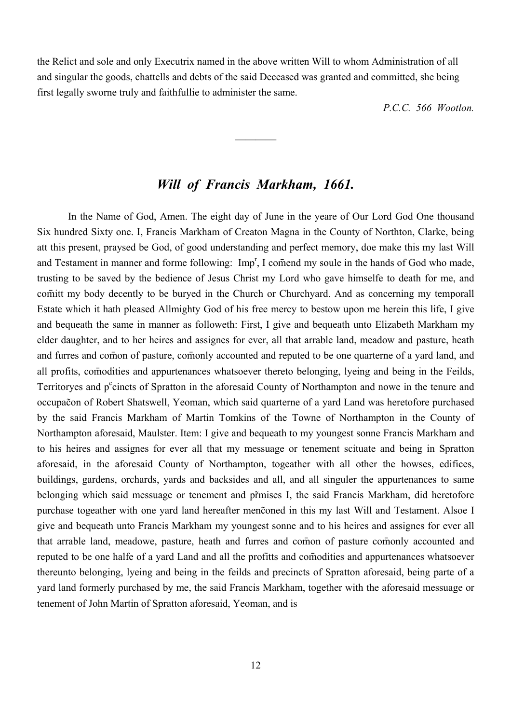the Relict and sole and only Executrix named in the above written Will to whom Administration of all and singular the goods, chattells and debts of the said Deceased was granted and committed, she being first legally sworne truly and faithfullie to administer the same.

*P.C.C. 566 Wootlon.* 

#### *Will of Francis Markham, 1661.*

————

In the Name of God, Amen. The eight day of June in the yeare of Our Lord God One thousand Six hundred Sixty one. I, Francis Markham of Creaton Magna in the County of Northton, Clarke, being att this present, praysed be God, of good understanding and perfect memory, doe make this my last Will and Testament in manner and forme following: Imp<sup>r</sup>, I comend my soule in the hands of God who made, trusting to be saved by the bedience of Jesus Christ my Lord who gave himselfe to death for me, and comitt my body decently to be buryed in the Church or Churchyard. And as concerning my temporall Estate which it hath pleased Allmighty God of his free mercy to bestow upon me herein this life, I give and bequeath the same in manner as followeth: First, I give and bequeath unto Elizabeth Markham my elder daughter, and to her heires and assignes for ever, all that arrable land, meadow and pasture, heath and furres and comon of pasture, comonly accounted and reputed to be one quarterne of a yard land, and all profits, comodities and appurtenances whatsoever thereto belonging, lyeing and being in the Feilds, Territoryes and pecincts of Spratton in the aforesaid County of Northampton and nowe in the tenure and occupacon of Robert Shatswell, Yeoman, which said quarterne of a yard Land was heretofore purchased by the said Francis Markham of Martin Tomkins of the Towne of Northampton in the County of Northampton aforesaid, Maulster. Item: I give and bequeath to my youngest sonne Francis Markham and to his heires and assignes for ever all that my messuage or tenement scituate and being in Spratton aforesaid, in the aforesaid County of Northampton, togeather with all other the howses, edifices, buildings, gardens, orchards, yards and backsides and all, and all singuler the appurtenances to same belonging which said messuage or tenement and primises I, the said Francis Markham, did heretofore purchase togeather with one yard land hereafter menconed in this my last Will and Testament. Alsoe I give and bequeath unto Francis Markham my youngest sonne and to his heires and assignes for ever all that arrable land, meadowe, pasture, heath and furres and comon of pasture comonly accounted and reputed to be one halfe of a yard Land and all the profitts and comodities and appurtenances whatsoever thereunto belonging, lyeing and being in the feilds and precincts of Spratton aforesaid, being parte of a yard land formerly purchased by me, the said Francis Markham, together with the aforesaid messuage or tenement of John Martin of Spratton aforesaid, Yeoman, and is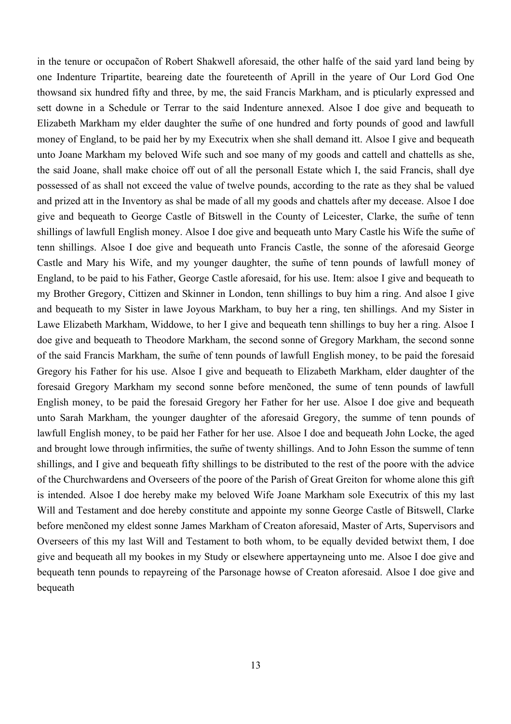in the tenure or occupacton of Robert Shakwell aforesaid, the other halfe of the said yard land being by one Indenture Tripartite, beareing date the foureteenth of Aprill in the yeare of Our Lord God One thowsand six hundred fifty and three, by me, the said Francis Markham, and is pticularly expressed and sett downe in a Schedule or Terrar to the said Indenture annexed. Alsoe I doe give and bequeath to Elizabeth Markham my elder daughter the sume of one hundred and forty pounds of good and lawfull money of England, to be paid her by my Executrix when she shall demand itt. Alsoe I give and bequeath unto Joane Markham my beloved Wife such and soe many of my goods and cattell and chattells as she, the said Joane, shall make choice off out of all the personall Estate which I, the said Francis, shall dye possessed of as shall not exceed the value of twelve pounds, according to the rate as they shal be valued and prized att in the Inventory as shal be made of all my goods and chattels after my decease. Alsoe I doe give and bequeath to George Castle of Bitswell in the County of Leicester, Clarke, the sume of tenn shillings of lawfull English money. Alsoe I doe give and bequeath unto Mary Castle his Wife the sume of tenn shillings. Alsoe I doe give and bequeath unto Francis Castle, the sonne of the aforesaid George Castle and Mary his Wife, and my younger daughter, the sume of tenn pounds of lawfull money of England, to be paid to his Father, George Castle aforesaid, for his use. Item: alsoe I give and bequeath to my Brother Gregory, Cittizen and Skinner in London, tenn shillings to buy him a ring. And alsoe I give and bequeath to my Sister in lawe Joyous Markham, to buy her a ring, ten shillings. And my Sister in Lawe Elizabeth Markham, Widdowe, to her I give and bequeath tenn shillings to buy her a ring. Alsoe I doe give and bequeath to Theodore Markham, the second sonne of Gregory Markham, the second sonne of the said Francis Markham, the sume of tenn pounds of lawfull English money, to be paid the foresaid Gregory his Father for his use. Alsoe I give and bequeath to Elizabeth Markham, elder daughter of the foresaid Gregory Markham my second sonne before menconed, the sume of tenn pounds of lawfull English money, to be paid the foresaid Gregory her Father for her use. Alsoe I doe give and bequeath unto Sarah Markham, the younger daughter of the aforesaid Gregory, the summe of tenn pounds of lawfull English money, to be paid her Father for her use. Alsoe I doe and bequeath John Locke, the aged and brought lowe through infirmities, the sume of twenty shillings. And to John Esson the summe of tenn shillings, and I give and bequeath fifty shillings to be distributed to the rest of the poore with the advice of the Churchwardens and Overseers of the poore of the Parish of Great Greiton for whome alone this gift is intended. Alsoe I doe hereby make my beloved Wife Joane Markham sole Executrix of this my last Will and Testament and doe hereby constitute and appointe my sonne George Castle of Bitswell, Clarke before menconed my eldest sonne James Markham of Creaton aforesaid, Master of Arts, Supervisors and Overseers of this my last Will and Testament to both whom, to be equally devided betwixt them, I doe give and bequeath all my bookes in my Study or elsewhere appertayneing unto me. Alsoe I doe give and bequeath tenn pounds to repayreing of the Parsonage howse of Creaton aforesaid. Alsoe I doe give and bequeath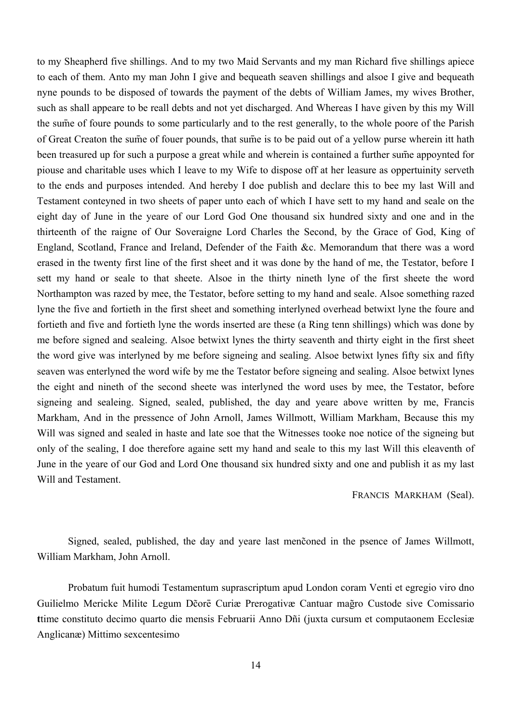to my Sheapherd five shillings. And to my two Maid Servants and my man Richard five shillings apiece to each of them. Anto my man John I give and bequeath seaven shillings and alsoe I give and bequeath nyne pounds to be disposed of towards the payment of the debts of William James, my wives Brother, such as shall appeare to be reall debts and not yet discharged. And Whereas I have given by this my Will the sume of foure pounds to some particularly and to the rest generally, to the whole poore of the Parish of Great Creaton the sume of fouer pounds, that sume is to be paid out of a yellow purse wherein itt hath been treasured up for such a purpose a great while and wherein is contained a further sume appoynted for piouse and charitable uses which I leave to my Wife to dispose off at her leasure as oppertuinity serveth to the ends and purposes intended. And hereby I doe publish and declare this to bee my last Will and Testament conteyned in two sheets of paper unto each of which I have sett to my hand and seale on the eight day of June in the yeare of our Lord God One thousand six hundred sixty and one and in the thirteenth of the raigne of Our Soveraigne Lord Charles the Second, by the Grace of God, King of England, Scotland, France and Ireland, Defender of the Faith &c. Memorandum that there was a word erased in the twenty first line of the first sheet and it was done by the hand of me, the Testator, before I sett my hand or seale to that sheete. Alsoe in the thirty nineth lyne of the first sheete the word Northampton was razed by mee, the Testator, before setting to my hand and seale. Alsoe something razed lyne the five and fortieth in the first sheet and something interlyned overhead betwixt lyne the foure and fortieth and five and fortieth lyne the words inserted are these (a Ring tenn shillings) which was done by me before signed and sealeing. Alsoe betwixt lynes the thirty seaventh and thirty eight in the first sheet the word give was interlyned by me before signeing and sealing. Alsoe betwixt lynes fifty six and fifty seaven was enterlyned the word wife by me the Testator before signeing and sealing. Alsoe betwixt lynes the eight and nineth of the second sheete was interlyned the word uses by mee, the Testator, before signeing and sealeing. Signed, sealed, published, the day and yeare above written by me, Francis Markham, And in the pressence of John Arnoll, James Willmott, William Markham, Because this my Will was signed and sealed in haste and late soe that the Witnesses tooke noe notice of the signeing but only of the sealing, I doe therefore againe sett my hand and seale to this my last Will this eleaventh of June in the yeare of our God and Lord One thousand six hundred sixty and one and publish it as my last Will and Testament.

FRANCIS MARKHAM (Seal).

Signed, sealed, published, the day and yeare last menconed in the psence of James Willmott, William Markham, John Arnoll.

Probatum fuit humodi Testamentum suprascriptum apud London coram Venti et egregio viro dno Guilielmo Mericke Milite Legum Dcore Curiæ Prerogativæ Cantuar magro Custode sive Comissario ttime constituto decimo quarto die mensis Februarii Anno Dñi (juxta cursum et computaonem Ecclesiæ Anglicanæ) Mittimo sexcentesimo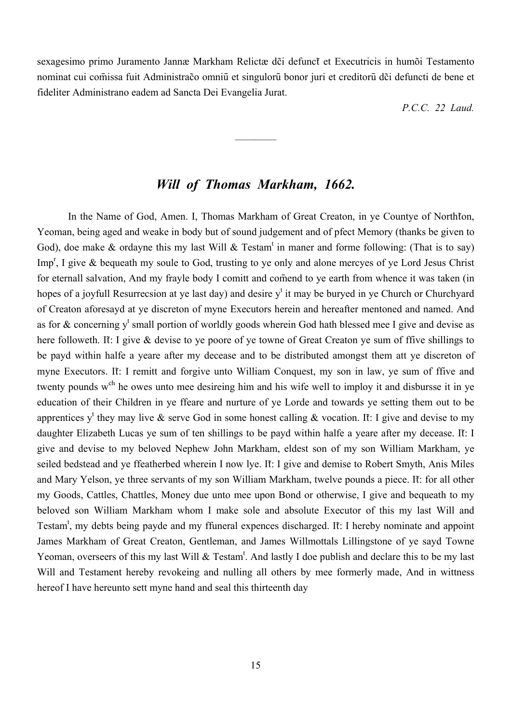sexagesimo primo Juramento Jannæ Markham Relictæ d $\tilde{c}$ i defunct̃ et Executricis in humõi Testamento nominat cui comissa fuit Administraco omniu et singuloru bonor juri et creditoru dc̃i defuncti de bene et fideliter Administrano eadem ad Sancta Dei Evangelia Jurat.

*P.C.C. 22 Laud.* 

#### *Will of Thomas Markham, 1662.*

————

In the Name of God, Amen. I, Thomas Markham of Great Creaton, in ye Countye of Northton, Yeoman, being aged and weake in body but of sound judgement and of pfect Memory (thanks be given to God), doe make & ordayne this my last Will & Testam<sup>t</sup> in maner and forme following: (That is to say) Imp<sup>r</sup>, I give & bequeath my soule to God, trusting to ye only and alone mercyes of ye Lord Jesus Christ for eternall salvation, And my frayle body I comitt and comend to ye earth from whence it was taken (in hopes of a joyfull Resurrecsion at ye last day) and desire  $y^t$  it may be buryed in ye Church or Churchyard of Creaton aforesayd at ye discreton of myne Executors herein and hereafter mentoned and named. And as for  $\&$  concerning  $y^t$  small portion of worldly goods wherein God hath blessed mee I give and devise as here followeth. It: I give  $\&$  devise to ye poore of ye towne of Great Creaton ye sum of ffive shillings to be payd within halfe a yeare after my decease and to be distributed amongst them att ye discreton of myne Executors. It: I remitt and forgive unto William Conquest, my son in law, ye sum of ffive and twenty pounds w<sup>ch</sup> he owes unto mee desireing him and his wife well to imploy it and disbursse it in ye education of their Children in ye ffeare and nurture of ye Lorde and towards ye setting them out to be apprentices y<sup>t</sup> they may live  $\&$  serve God in some honest calling  $\&$  vocation. It: I give and devise to my daughter Elizabeth Lucas ye sum of ten shillings to be payd within halfe a yeare after my decease. It: I give and devise to my beloved Nephew John Markham, eldest son of my son William Markham, ye seiled bedstead and ye ffeatherbed wherein I now lye. It: I give and demise to Robert Smyth, Anis Miles and Mary Yelson, ye three servants of my son William Markham, twelve pounds a piece. It: for all other my Goods, Cattles, Chattles, Money due unto mee upon Bond or otherwise, I give and bequeath to my beloved son William Markham whom I make sole and absolute Executor of this my last Will and Testam<sup>t</sup>, my debts being payde and my ffuneral expences discharged. It: I hereby nominate and appoint James Markham of Great Creaton, Gentleman, and James Willmottals Lillingstone of ye sayd Towne Yeoman, overseers of this my last Will  $\&$  Testam<sup>t</sup>. And lastly I doe publish and declare this to be my last Will and Testament hereby revokeing and nulling all others by mee formerly made, And in wittness hereof I have hereunto sett myne hand and seal this thirteenth day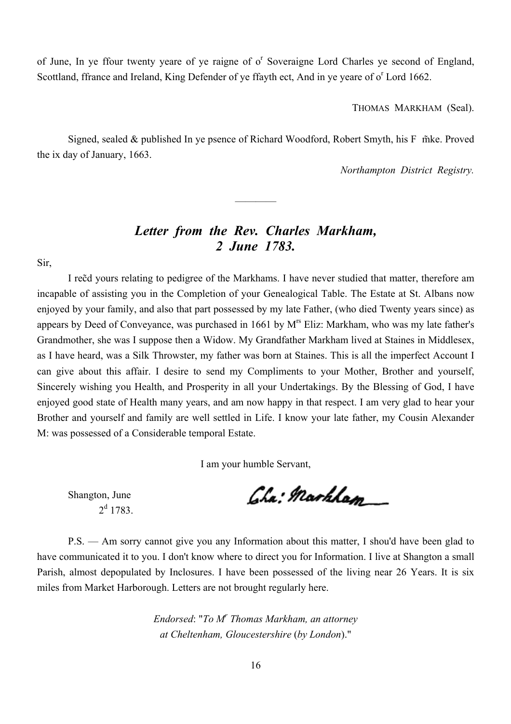of June, In ye ffour twenty yeare of ye raigne of o<sup>r</sup> Soveraigne Lord Charles ye second of England, Scottland, ffrance and Ireland, King Defender of ye ffayth ect, And in ye yeare of o<sup>r</sup> Lord 1662.

THOMAS MARKHAM (Seal).

Signed, sealed & published In ye psence of Richard Woodford, Robert Smyth, his F m̃ke. Proved the ix day of January, 1663.

*Northampton District Registry.* 

#### *Letter from the Rev. Charles Markham, 2 June 1783.*

————

Sir,

I rec<sup>o</sup>d yours relating to pedigree of the Markhams. I have never studied that matter, therefore am incapable of assisting you in the Completion of your Genealogical Table. The Estate at St. Albans now enjoyed by your family, and also that part possessed by my late Father, (who died Twenty years since) as appears by Deed of Conveyance, was purchased in 1661 by M<sup>rs</sup> Eliz: Markham, who was my late father's Grandmother, she was I suppose then a Widow. My Grandfather Markham lived at Staines in Middlesex, as I have heard, was a Silk Throwster, my father was born at Staines. This is all the imperfect Account I can give about this affair. I desire to send my Compliments to your Mother, Brother and yourself, Sincerely wishing you Health, and Prosperity in all your Undertakings. By the Blessing of God, I have enjoyed good state of Health many years, and am now happy in that respect. I am very glad to hear your Brother and yourself and family are well settled in Life. I know your late father, my Cousin Alexander M: was possessed of a Considerable temporal Estate.

I am your humble Servant,

Shangton, June  $2^d$  1783.

Cha: Markham

P.S. — Am sorry cannot give you any Information about this matter, I shou'd have been glad to have communicated it to you. I don't know where to direct you for Information. I live at Shangton a small Parish, almost depopulated by Inclosures. I have been possessed of the living near 26 Years. It is six miles from Market Harborough. Letters are not brought regularly here.

> *Endorsed*: "*To M<sup>r</sup> Thomas Markham, an attorney at Cheltenham, Gloucestershire* (*by London*)."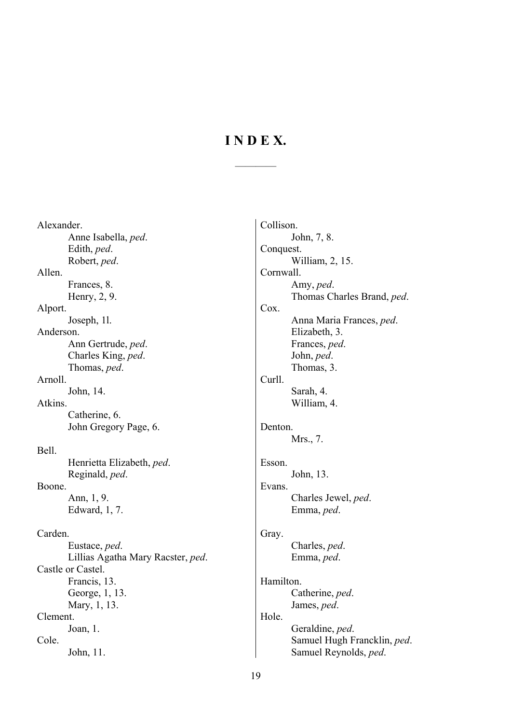#### **I N D E X.**

————

Alexander. Anne Isabella, *ped*. Edith, *ped*. Robert, *ped*. Allen. Frances, 8. Henry, 2, 9. Alport. Joseph, 1l. Anderson. Ann Gertrude, *ped*. Charles King, *ped*. Thomas, *ped*. Arnoll. John, 14. Atkins. Catherine, 6. John Gregory Page, 6. Bell. Henrietta Elizabeth, *ped*. Reginald, *ped*. Boone. Ann, 1, 9. Edward, 1, 7. Carden. Eustace, *ped*. Lillias Agatha Mary Racster, *ped*. Castle or Castel. Francis, 13. George, 1, 13. Mary, 1, 13. Clement. Joan, 1. Cole. John, 11.

Collison. John, 7, 8. Conquest. William, 2, 15. Cornwall. Amy, *ped*. Thomas Charles Brand, *ped*. Cox<sup>-1</sup> Anna Maria Frances, *ped*. Elizabeth, 3. Frances, *ped*. John, *ped*. Thomas, 3. Curll. Sarah, 4. William, 4. Denton. Mrs., 7. Esson. John, 13. Evans. Charles Jewel, *ped*. Emma, *ped*. Gray. Charles, *ped*. Emma, *ped*. Hamilton. Catherine, *ped*. James, *ped*. Hole. Geraldine, *ped*. Samuel Hugh Francklin, *ped*. Samuel Reynolds, *ped*.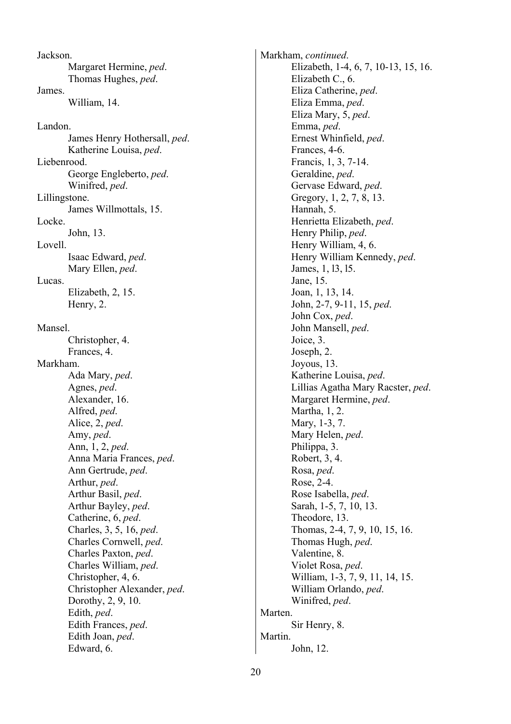Jackson. Margaret Hermine, *ped*. Thomas Hughes, *ped*. James. William, 14. Landon. James Henry Hothersall, *ped*. Katherine Louisa, *ped*. Liebenrood. George Engleberto, *ped*. Winifred, *ped*. Lillingstone. James Willmottals, 15. Locke. John, 13. Lovell. Isaac Edward, *ped*. Mary Ellen, *ped*. Lucas. Elizabeth, 2, 15. Henry, 2. Mansel. Christopher, 4. Frances, 4. Markham. Ada Mary, *ped*. Agnes, *ped*. Alexander, 16. Alfred, *ped*. Alice, 2, *ped*. Amy, *ped*. Ann, 1, 2, *ped*. Anna Maria Frances, *ped*. Ann Gertrude, *ped*. Arthur, *ped*. Arthur Basil, *ped*. Arthur Bayley, *ped*. Catherine, 6, *ped*. Charles, 3, 5, 16, *ped*. Charles Cornwell, *ped*. Charles Paxton, *ped*. Charles William, *ped*. Christopher, 4, 6. Christopher Alexander, *ped*. Dorothy, 2, 9, 10. Edith, *ped*. Edith Frances, *ped*. Edith Joan, *ped*. Edward, 6.

Markham, *continued*. Elizabeth, 1-4, 6, 7, 10-13, 15, 16. Elizabeth C., 6. Eliza Catherine, *ped*. Eliza Emma, *ped*. Eliza Mary, 5, *ped*. Emma, *ped*. Ernest Whinfield, *ped*. Frances, 4-6. Francis, 1, 3, 7-14. Geraldine, *ped*. Gervase Edward, *ped*. Gregory, 1, 2, 7, 8, 13. Hannah, 5. Henrietta Elizabeth, *ped*. Henry Philip, *ped*. Henry William, 4, 6. Henry William Kennedy, *ped*. James, 1, l3, l5. Jane, 15. Joan, 1, 13, 14. John, 2-7, 9-11, 15, *ped*. John Cox, *ped*. John Mansell, *ped*. Joice, 3. Joseph, 2. Joyous, 13. Katherine Louisa, *ped*. Lillias Agatha Mary Racster, *ped*. Margaret Hermine, *ped*. Martha, 1, 2. Mary, 1-3, 7. Mary Helen, *ped*. Philippa, 3. Robert, 3, 4. Rosa, *ped*. Rose, 2-4. Rose Isabella, *ped*. Sarah, 1-5, 7, 10, 13. Theodore, 13. Thomas, 2-4, 7, 9, 10, 15, 16. Thomas Hugh, *ped*. Valentine, 8. Violet Rosa, *ped*. William, 1-3, 7, 9, 11, 14, 15. William Orlando, *ped*. Winifred, *ped*. Marten. Sir Henry, 8. Martin. John, 12.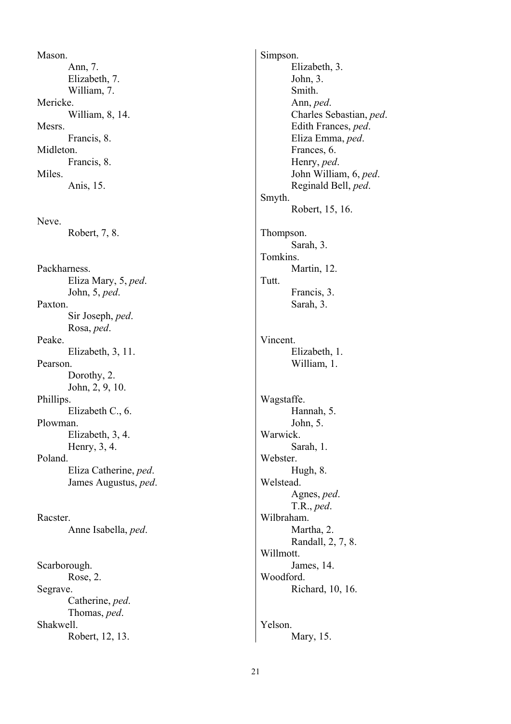Mason. Ann, 7. Elizabeth, 7. William, 7. Mericke. William, 8, 14. Mesrs. Francis, 8. Midleton. Francis, 8. Miles. Anis, 15. Neve. Robert, 7, 8. Packharness. Eliza Mary, 5, *ped*. John, 5, *ped*. Paxton. Sir Joseph, *ped*. Rosa, *ped*. Peake. Elizabeth, 3, 11. Pearson. Dorothy, 2. John, 2, 9, 10. Phillips. Elizabeth C., 6. Plowman. Elizabeth, 3, 4. Henry, 3, 4. Poland. Eliza Catherine, *ped*. James Augustus, *ped*. Racster. Anne Isabella, *ped*. Scarborough. Rose, 2. Segrave. Catherine, *ped*. Thomas, *ped*. Shakwell. Robert, 12, 13.

Simpson. Elizabeth, 3. John, 3. Smith. Ann, *ped*. Charles Sebastian, *ped*. Edith Frances, *ped*. Eliza Emma, *ped*. Frances, 6. Henry, *ped*. John William, 6, *ped*. Reginald Bell, *ped*. Smyth. Robert, 15, 16. Thompson. Sarah, 3. Tomkins. Martin, 12. Tutt. Francis, 3. Sarah, 3. Vincent. Elizabeth, 1. William, 1. Wagstaffe. Hannah, 5. John, 5. Warwick. Sarah, 1. Webster. Hugh, 8. Welstead. Agnes, *ped*. T.R., *ped*. Wilbraham. Martha, 2. Randall, 2, 7, 8. Willmott. James, 14. Woodford. Richard, 10, 16. Yelson. Mary, 15.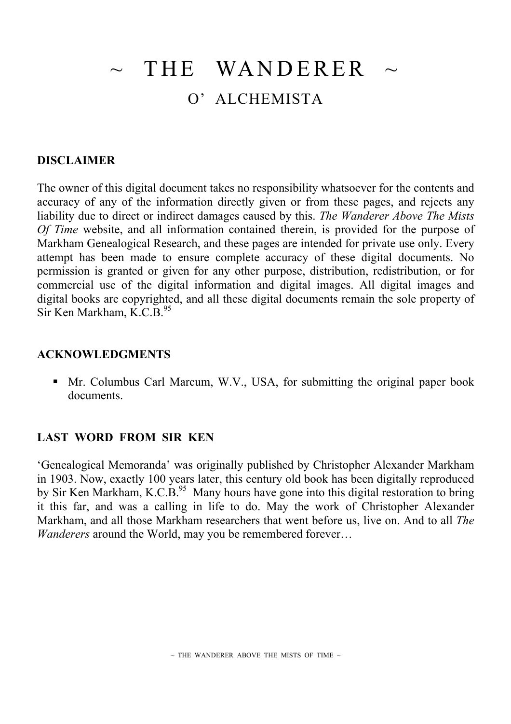### $\sim$  THE WANDERER  $\sim$ O' ALCHEMISTA

#### **DISCLAIMER**

The owner of this digital document takes no responsibility whatsoever for the contents and accuracy of any of the information directly given or from these pages, and rejects any liability due to direct or indirect damages caused by this. *The Wanderer Above The Mists Of Time* website, and all information contained therein, is provided for the purpose of Markham Genealogical Research, and these pages are intended for private use only. Every attempt has been made to ensure complete accuracy of these digital documents. No permission is granted or given for any other purpose, distribution, redistribution, or for commercial use of the digital information and digital images. All digital images and digital books are copyrighted, and all these digital documents remain the sole property of Sir Ken Markham, K.C.B.<sup>95</sup>

#### **ACKNOWLEDGMENTS**

 Mr. Columbus Carl Marcum, W.V., USA, for submitting the original paper book documents.

#### **LAST WORD FROM SIR KEN**

'Genealogical Memoranda' was originally published by Christopher Alexander Markham in 1903. Now, exactly 100 years later, this century old book has been digitally reproduced by Sir Ken Markham, K.C.B.<sup>95</sup> Many hours have gone into this digital restoration to bring it this far, and was a calling in life to do. May the work of Christopher Alexander Markham, and all those Markham researchers that went before us, live on. And to all *The Wanderers* around the World, may you be remembered forever…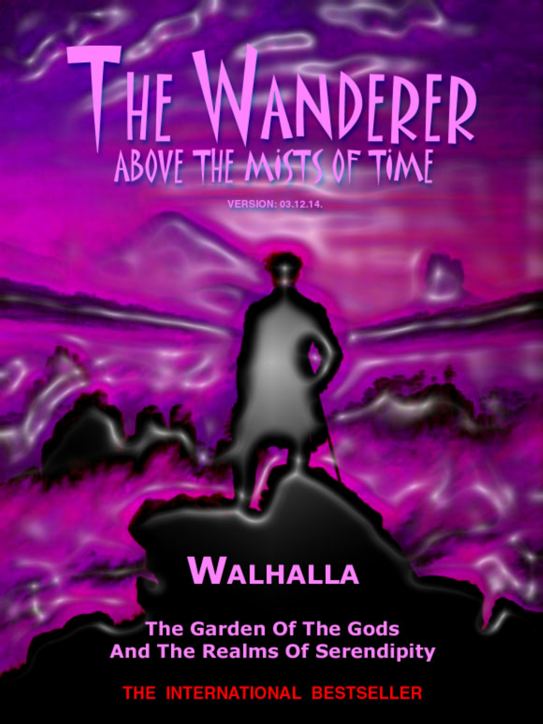# HE WANDERER

**VERSION: 03.12.14.** 

# **WALHALLA**

**The Garden Of The Gods And The Realms Of Serendipity** 

THE INTERNATIONAL BESTSELLER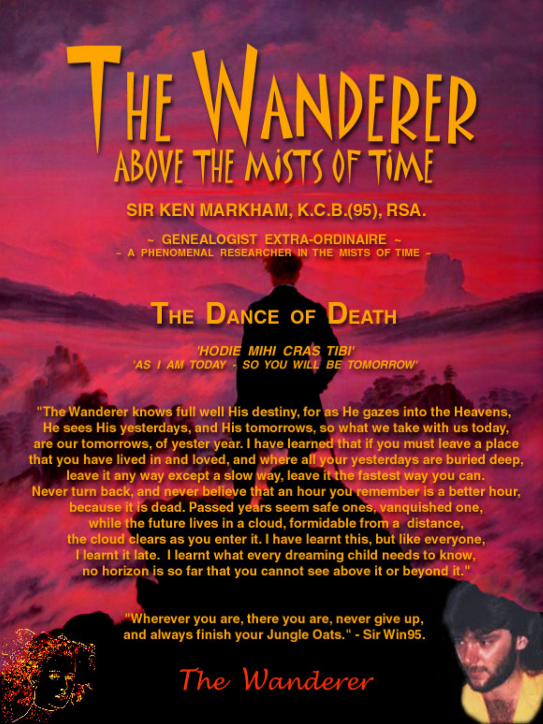# HE WANDERER ABOVE THE MISTS OF TIME

SIR KEN MARKHAM, K.C.B.(95), RSA.

~ GENEALOGIST EXTRA-ORDINAIRE ~ A PHENOMENAL RESEARCHER IN THE MISTS OF TIME

### **THE DANCE OF DEATH**

"HODIE MIHI CRAS TIBI"<br>'AS I AM TODAY - SO YOU WILL BE TOMORROW

"The Wanderer knows full well His destiny, for as He gazes into the Heavens, He sees His yesterdays, and His tomorrows, so what we take with us today, are our tomorrows, of yester year. I have learned that if you must leave a place that you have lived in and loved, and where all your yesterdays are buried deep, leave it any way except a slow way, leave it the fastest way you can.<br>Never turn back, and never believe that an hour you remember is a better hour, because it is dead. Passed years seem safe ones, vanquished one, while the future lives in a cloud, formidable from a distance, the cloud clears as you enter it. I have learnt this, but like everyone, I learnt it late. I learnt what every dreaming child needs to know, no horizon is so far that you cannot see above it or beyond it

> Wherever you are, there you are, never give up, and always finish your Jungle Oats." - Sir Win95.